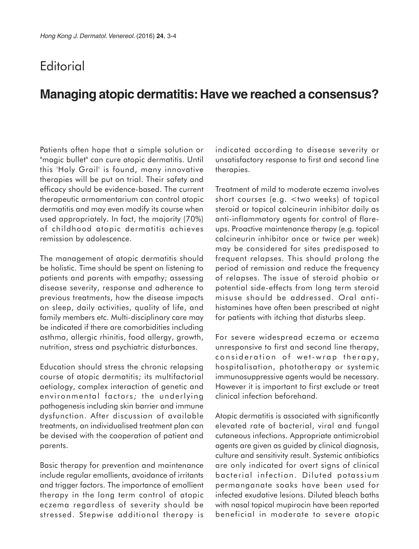## **Editorial**

# **Managing atopic dermatitis: Have we reached a consensus?**

Patients often hope that a simple solution or "magic bullet" can cure atopic dermatitis. Until this 'Holy Grail' is found, many innovative therapies will be put on trial. Their safety and efficacy should be evidence-based. The current therapeutic armamentarium can control atopic dermatitis and may even modify its course when used appropriately. In fact, the majority (70%) of childhood atopic dermatitis achieves remission by adolescence.

The management of atopic dermatitis should be holistic. Time should be spent on listening to patients and parents with empathy; assessing disease severity, response and adherence to previous treatments, how the disease impacts on sleep, daily activities, quality of life, and family members etc. Multi-disciplinary care may be indicated if there are comorbidities including asthma, allergic rhinitis, food allergy, growth, nutrition, stress and psychiatric disturbances.

Education should stress the chronic relapsing course of atopic dermatitis; its multifactorial aetiology, complex interaction of genetic and environmental factors; the underlying pathogenesis including skin barrier and immune dysfunction. After discussion of available treatments, an individualised treatment plan can be devised with the cooperation of patient and parents.

Basic therapy for prevention and maintenance include regular emollients, avoidance of irritants and trigger factors. The importance of emollient therapy in the long term control of atopic eczema regardless of severity should be stressed. Stepwise additional therapy is indicated according to disease severity or unsatisfactory response to first and second line therapies.

Treatment of mild to moderate eczema involves short courses (e.g. <two weeks) of topical steroid or topical calcineurin inhibitor daily as anti-inflammatory agents for control of flareups. Proactive maintenance therapy (e.g. topical calcineurin inhibitor once or twice per week) may be considered for sites predisposed to frequent relapses. This should prolong the period of remission and reduce the frequency of relapses. The issue of steroid phobia or potential side-effects from long term steroid misuse should be addressed. Oral antihistamines have often been prescribed at night for patients with itching that disturbs sleep.

For severe widespread eczema or eczema unresponsive to first and second line therapy, consideration of wet-wrap therapy, hospitalisation, phototherapy or systemic immunosuppressive agents would be necessary. However it is important to first exclude or treat clinical infection beforehand.

Atopic dermatitis is associated with significantly elevated rate of bacterial, viral and fungal cutaneous infections. Appropriate antimicrobial agents are given as guided by clinical diagnosis, culture and sensitivity result. Systemic antibiotics are only indicated for overt signs of clinical bacterial infection. Diluted potassium permanganate soaks have been used for infected exudative lesions. Diluted bleach baths with nasal topical mupirocin have been reported beneficial in moderate to severe atopic